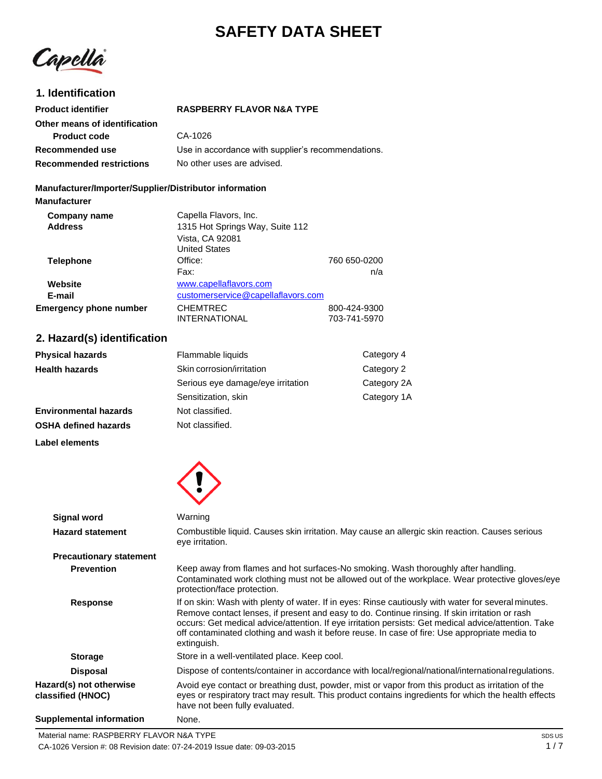# **SAFETY DATA SHEET**

Capellà

# **1. Identification Product identifier**

# **RASPBERRY FLAVOR N&A TYPE**

| Other means of identification   |                                                    |
|---------------------------------|----------------------------------------------------|
| <b>Product code</b>             | CA-1026                                            |
| Recommended use                 | Use in accordance with supplier's recommendations. |
| <b>Recommended restrictions</b> | No other uses are advised.                         |

#### **Manufacturer/Importer/Supplier/Distributor information**

**Manufacturer**

| Company name                  | Capella Flavors, Inc.              |              |
|-------------------------------|------------------------------------|--------------|
| <b>Address</b>                | 1315 Hot Springs Way, Suite 112    |              |
|                               | Vista, CA 92081                    |              |
|                               | <b>United States</b>               |              |
| <b>Telephone</b>              | Office:                            | 760 650-0200 |
|                               | Fax:                               | n/a          |
| Website                       | www.capellaflavors.com             |              |
| E-mail                        | customerservice@capellaflavors.com |              |
| <b>Emergency phone number</b> | <b>CHEMTREC</b>                    | 800-424-9300 |
|                               | <b>INTERNATIONAL</b>               | 703-741-5970 |

# **2. Hazard(s) identification**

| <b>Physical hazards</b>      | Flammable liquids                       | Category 4  |
|------------------------------|-----------------------------------------|-------------|
| <b>Health hazards</b>        | Skin corrosion/irritation<br>Category 2 |             |
|                              | Serious eye damage/eye irritation       | Category 2A |
|                              | Sensitization, skin                     | Category 1A |
| <b>Environmental hazards</b> | Not classified.                         |             |
| <b>OSHA defined hazards</b>  | Not classified.                         |             |

**Label elements**



| Signal word                                  | Warning                                                                                                                                                                                                                                                                                                                                                                                                                       |
|----------------------------------------------|-------------------------------------------------------------------------------------------------------------------------------------------------------------------------------------------------------------------------------------------------------------------------------------------------------------------------------------------------------------------------------------------------------------------------------|
| <b>Hazard statement</b>                      | Combustible liquid. Causes skin irritation. May cause an allergic skin reaction. Causes serious<br>eye irritation.                                                                                                                                                                                                                                                                                                            |
| <b>Precautionary statement</b>               |                                                                                                                                                                                                                                                                                                                                                                                                                               |
| <b>Prevention</b>                            | Keep away from flames and hot surfaces-No smoking. Wash thoroughly after handling.<br>Contaminated work clothing must not be allowed out of the workplace. Wear protective gloves/eye<br>protection/face protection.                                                                                                                                                                                                          |
| <b>Response</b>                              | If on skin: Wash with plenty of water. If in eyes: Rinse cautiously with water for several minutes.<br>Remove contact lenses, if present and easy to do. Continue rinsing. If skin irritation or rash<br>occurs: Get medical advice/attention. If eye irritation persists: Get medical advice/attention. Take<br>off contaminated clothing and wash it before reuse. In case of fire: Use appropriate media to<br>extinguish. |
| <b>Storage</b>                               | Store in a well-ventilated place. Keep cool.                                                                                                                                                                                                                                                                                                                                                                                  |
| <b>Disposal</b>                              | Dispose of contents/container in accordance with local/regional/national/international regulations.                                                                                                                                                                                                                                                                                                                           |
| Hazard(s) not otherwise<br>classified (HNOC) | Avoid eye contact or breathing dust, powder, mist or vapor from this product as irritation of the<br>eyes or respiratory tract may result. This product contains ingredients for which the health effects<br>have not been fully evaluated.                                                                                                                                                                                   |
| <b>Supplemental information</b>              | None.                                                                                                                                                                                                                                                                                                                                                                                                                         |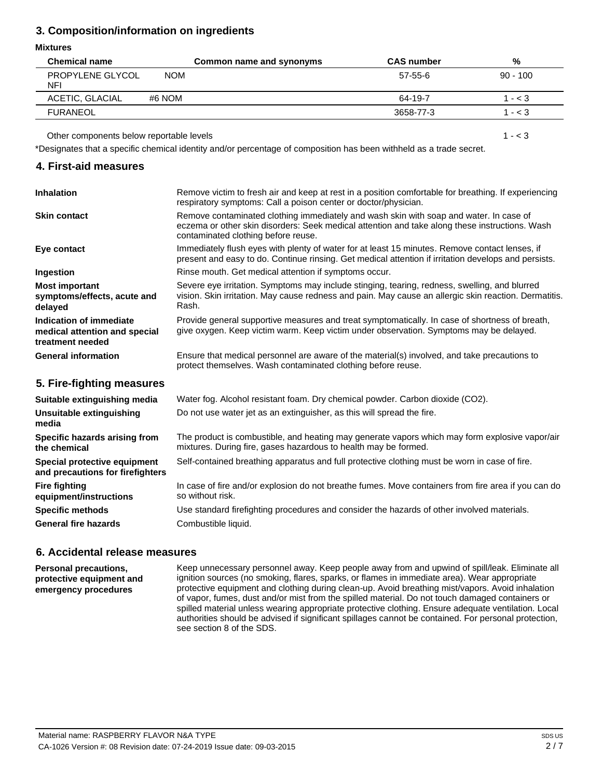# **3. Composition/information on ingredients**

# **Mixtures**

| <b>Chemical name</b>           |            | Common name and synonyms | <b>CAS</b> number | %          |
|--------------------------------|------------|--------------------------|-------------------|------------|
| PROPYLENE GLYCOL<br><b>NFI</b> | <b>NOM</b> |                          | 57-55-6           | $90 - 100$ |
| ACETIC, GLACIAL                | #6 NOM     |                          | 64-19-7           | $- < 3$    |
| <b>FURANEOL</b>                |            |                          | 3658-77-3         | 1 - < 3    |

Other components below reportable levels

\*Designates that a specific chemical identity and/or percentage of composition has been withheld as a trade secret.

# **4. First-aid measures**

| <b>Inhalation</b>                                                            | Remove victim to fresh air and keep at rest in a position comfortable for breathing. If experiencing<br>respiratory symptoms: Call a poison center or doctor/physician.                                                         |
|------------------------------------------------------------------------------|---------------------------------------------------------------------------------------------------------------------------------------------------------------------------------------------------------------------------------|
| <b>Skin contact</b>                                                          | Remove contaminated clothing immediately and wash skin with soap and water. In case of<br>eczema or other skin disorders: Seek medical attention and take along these instructions. Wash<br>contaminated clothing before reuse. |
| Eye contact                                                                  | Immediately flush eyes with plenty of water for at least 15 minutes. Remove contact lenses, if<br>present and easy to do. Continue rinsing. Get medical attention if irritation develops and persists.                          |
| <b>Ingestion</b>                                                             | Rinse mouth. Get medical attention if symptoms occur.                                                                                                                                                                           |
| <b>Most important</b><br>symptoms/effects, acute and<br>delayed              | Severe eye irritation. Symptoms may include stinging, tearing, redness, swelling, and blurred<br>vision. Skin irritation. May cause redness and pain. May cause an allergic skin reaction. Dermatitis.<br>Rash.                 |
| Indication of immediate<br>medical attention and special<br>treatment needed | Provide general supportive measures and treat symptomatically. In case of shortness of breath,<br>give oxygen. Keep victim warm. Keep victim under observation. Symptoms may be delayed.                                        |
| <b>General information</b>                                                   | Ensure that medical personnel are aware of the material(s) involved, and take precautions to<br>protect themselves. Wash contaminated clothing before reuse.                                                                    |

# **5. Fire-fighting measures**

| Suitable extinguishing media                                     | Water fog. Alcohol resistant foam. Dry chemical powder. Carbon dioxide (CO2).                                                                                     |
|------------------------------------------------------------------|-------------------------------------------------------------------------------------------------------------------------------------------------------------------|
| Unsuitable extinguishing<br>media                                | Do not use water jet as an extinguisher, as this will spread the fire.                                                                                            |
| Specific hazards arising from<br>the chemical                    | The product is combustible, and heating may generate vapors which may form explosive vapor/air<br>mixtures. During fire, gases hazardous to health may be formed. |
| Special protective equipment<br>and precautions for firefighters | Self-contained breathing apparatus and full protective clothing must be worn in case of fire.                                                                     |
| <b>Fire fighting</b><br>equipment/instructions                   | In case of fire and/or explosion do not breathe fumes. Move containers from fire area if you can do<br>so without risk.                                           |
| <b>Specific methods</b>                                          | Use standard firefighting procedures and consider the hazards of other involved materials.                                                                        |
| <b>General fire hazards</b>                                      | Combustible liquid.                                                                                                                                               |

# **6. Accidental release measures**

**Personal precautions, protective equipment and emergency procedures**

Keep unnecessary personnel away. Keep people away from and upwind of spill/leak. Eliminate all ignition sources (no smoking, flares, sparks, or flames in immediate area). Wear appropriate protective equipment and clothing during clean-up. Avoid breathing mist/vapors. Avoid inhalation of vapor, fumes, dust and/or mist from the spilled material. Do not touch damaged containers or spilled material unless wearing appropriate protective clothing. Ensure adequate ventilation. Local authorities should be advised if significant spillages cannot be contained. For personal protection, see section 8 of the SDS.

 $1 - < 3$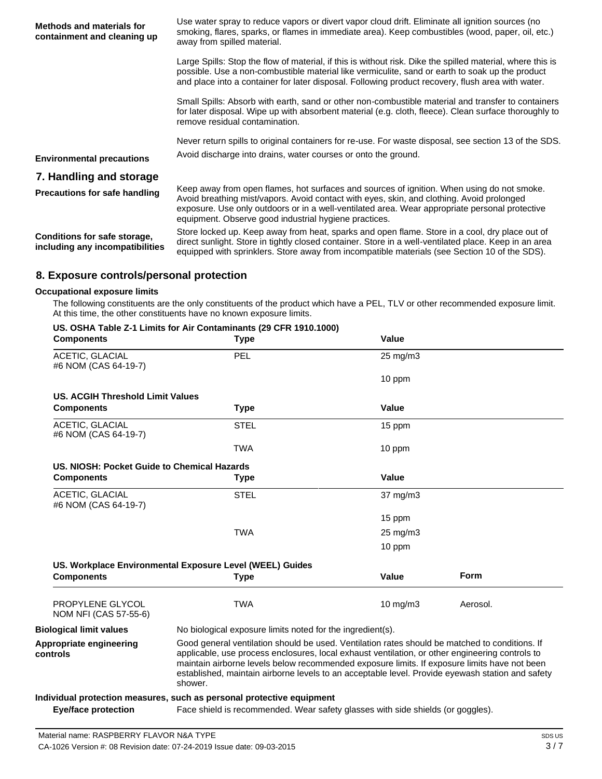| <b>Methods and materials for</b><br>containment and cleaning up | Use water spray to reduce vapors or divert vapor cloud drift. Eliminate all ignition sources (no<br>smoking, flares, sparks, or flames in immediate area). Keep combustibles (wood, paper, oil, etc.)<br>away from spilled material.                                                                                                               |
|-----------------------------------------------------------------|----------------------------------------------------------------------------------------------------------------------------------------------------------------------------------------------------------------------------------------------------------------------------------------------------------------------------------------------------|
|                                                                 | Large Spills: Stop the flow of material, if this is without risk. Dike the spilled material, where this is<br>possible. Use a non-combustible material like vermiculite, sand or earth to soak up the product<br>and place into a container for later disposal. Following product recovery, flush area with water.                                 |
|                                                                 | Small Spills: Absorb with earth, sand or other non-combustible material and transfer to containers<br>for later disposal. Wipe up with absorbent material (e.g. cloth, fleece). Clean surface thoroughly to<br>remove residual contamination.                                                                                                      |
|                                                                 | Never return spills to original containers for re-use. For waste disposal, see section 13 of the SDS.                                                                                                                                                                                                                                              |
| <b>Environmental precautions</b>                                | Avoid discharge into drains, water courses or onto the ground.                                                                                                                                                                                                                                                                                     |
| 7. Handling and storage                                         |                                                                                                                                                                                                                                                                                                                                                    |
| <b>Precautions for safe handling</b>                            | Keep away from open flames, hot surfaces and sources of ignition. When using do not smoke.<br>Avoid breathing mist/vapors. Avoid contact with eyes, skin, and clothing. Avoid prolonged<br>exposure. Use only outdoors or in a well-ventilated area. Wear appropriate personal protective<br>equipment. Observe good industrial hygiene practices. |
| Conditions for safe storage,<br>including any incompatibilities | Store locked up. Keep away from heat, sparks and open flame. Store in a cool, dry place out of<br>direct sunlight. Store in tightly closed container. Store in a well-ventilated place. Keep in an area<br>equipped with sprinklers. Store away from incompatible materials (see Section 10 of the SDS).                                           |

# **8. Exposure controls/personal protection**

#### **Occupational exposure limits**

The following constituents are the only constituents of the product which have a PEL, TLV or other recommended exposure limit. At this time, the other constituents have no known exposure limits.

#### **US. OSHA Table Z-1 Limits for Air Contaminants (29 CFR 1910.1000)**

| <b>Components</b>                              | <b>Type</b>                                                                                                                                                                                                                                                                                                                                                                                                      | Value             |             |
|------------------------------------------------|------------------------------------------------------------------------------------------------------------------------------------------------------------------------------------------------------------------------------------------------------------------------------------------------------------------------------------------------------------------------------------------------------------------|-------------------|-------------|
| ACETIC, GLACIAL<br>#6 NOM (CAS 64-19-7)        | <b>PEL</b>                                                                                                                                                                                                                                                                                                                                                                                                       | 25 mg/m3          |             |
|                                                |                                                                                                                                                                                                                                                                                                                                                                                                                  | 10 ppm            |             |
| US. ACGIH Threshold Limit Values               |                                                                                                                                                                                                                                                                                                                                                                                                                  |                   |             |
| <b>Components</b>                              | Type                                                                                                                                                                                                                                                                                                                                                                                                             | Value             |             |
| <b>ACETIC, GLACIAL</b><br>#6 NOM (CAS 64-19-7) | <b>STEL</b>                                                                                                                                                                                                                                                                                                                                                                                                      | 15 ppm            |             |
|                                                | <b>TWA</b>                                                                                                                                                                                                                                                                                                                                                                                                       | 10 ppm            |             |
| US. NIOSH: Pocket Guide to Chemical Hazards    |                                                                                                                                                                                                                                                                                                                                                                                                                  |                   |             |
| <b>Components</b>                              | <b>Type</b>                                                                                                                                                                                                                                                                                                                                                                                                      | Value             |             |
| <b>ACETIC, GLACIAL</b><br>#6 NOM (CAS 64-19-7) | <b>STEL</b>                                                                                                                                                                                                                                                                                                                                                                                                      | 37 mg/m3          |             |
|                                                |                                                                                                                                                                                                                                                                                                                                                                                                                  | 15 ppm            |             |
|                                                | <b>TWA</b>                                                                                                                                                                                                                                                                                                                                                                                                       | 25 mg/m3          |             |
|                                                |                                                                                                                                                                                                                                                                                                                                                                                                                  | 10 ppm            |             |
|                                                | US. Workplace Environmental Exposure Level (WEEL) Guides                                                                                                                                                                                                                                                                                                                                                         |                   |             |
| <b>Components</b>                              | <b>Type</b>                                                                                                                                                                                                                                                                                                                                                                                                      | Value             | <b>Form</b> |
| PROPYLENE GLYCOL<br>NOM NFI (CAS 57-55-6)      | <b>TWA</b>                                                                                                                                                                                                                                                                                                                                                                                                       | $10 \text{ mg/m}$ | Aerosol.    |
| <b>Biological limit values</b>                 | No biological exposure limits noted for the ingredient(s).                                                                                                                                                                                                                                                                                                                                                       |                   |             |
| Appropriate engineering<br>controls            | Good general ventilation should be used. Ventilation rates should be matched to conditions. If<br>applicable, use process enclosures, local exhaust ventilation, or other engineering controls to<br>maintain airborne levels below recommended exposure limits. If exposure limits have not been<br>established, maintain airborne levels to an acceptable level. Provide eyewash station and safety<br>shower. |                   |             |
|                                                | Individual protection measures, such as personal protective equipment                                                                                                                                                                                                                                                                                                                                            |                   |             |

**Eye/face protection** Face shield is recommended. Wear safety glasses with side shields (or goggles).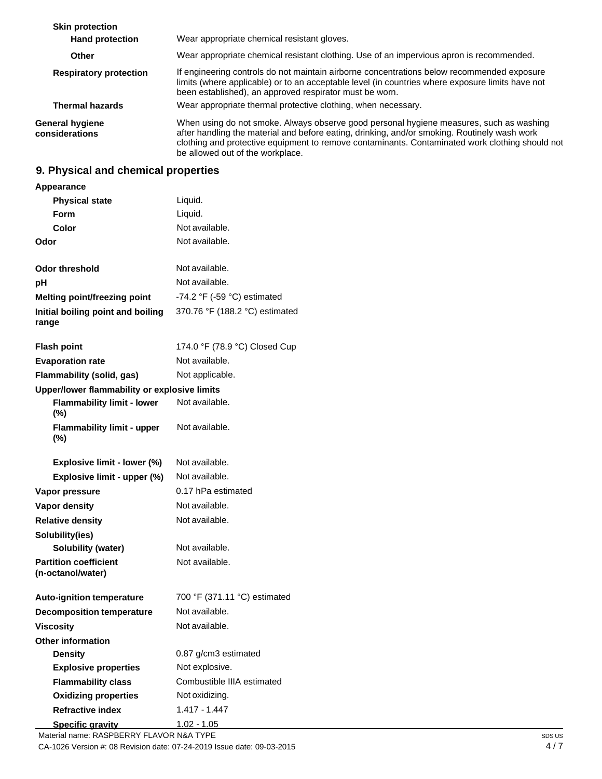| <b>Skin protection</b>                   |                                                                                                                                                                                                                                                                                                                                |
|------------------------------------------|--------------------------------------------------------------------------------------------------------------------------------------------------------------------------------------------------------------------------------------------------------------------------------------------------------------------------------|
| <b>Hand protection</b>                   | Wear appropriate chemical resistant gloves.                                                                                                                                                                                                                                                                                    |
| Other                                    | Wear appropriate chemical resistant clothing. Use of an impervious apron is recommended.                                                                                                                                                                                                                                       |
| <b>Respiratory protection</b>            | If engineering controls do not maintain airborne concentrations below recommended exposure<br>limits (where applicable) or to an acceptable level (in countries where exposure limits have not<br>been established), an approved respirator must be worn.                                                                      |
| <b>Thermal hazards</b>                   | Wear appropriate thermal protective clothing, when necessary.                                                                                                                                                                                                                                                                  |
| <b>General hygiene</b><br>considerations | When using do not smoke. Always observe good personal hygiene measures, such as washing<br>after handling the material and before eating, drinking, and/or smoking. Routinely wash work<br>clothing and protective equipment to remove contaminants. Contaminated work clothing should not<br>be allowed out of the workplace. |

# **9. Physical and chemical properties**

| Appearance                                        |                                               |
|---------------------------------------------------|-----------------------------------------------|
| <b>Physical state</b>                             | Liquid.                                       |
| Form                                              | Liquid.                                       |
| Color                                             | Not available.                                |
| Odor                                              | Not available.                                |
| <b>Odor threshold</b>                             | Not available.                                |
| рH                                                | Not available.                                |
| <b>Melting point/freezing point</b>               | -74.2 $\degree$ F (-59 $\degree$ C) estimated |
| Initial boiling point and boiling<br>range        | 370.76 °F (188.2 °C) estimated                |
| <b>Flash point</b>                                | 174.0 °F (78.9 °C) Closed Cup                 |
| <b>Evaporation rate</b>                           | Not available.                                |
| Flammability (solid, gas)                         | Not applicable.                               |
| Upper/lower flammability or explosive limits      |                                               |
| <b>Flammability limit - lower</b><br>$(\%)$       | Not available.                                |
| <b>Flammability limit - upper</b><br>$(\%)$       | Not available.                                |
| Explosive limit - lower (%)                       | Not available.                                |
| Explosive limit - upper (%)                       | Not available.                                |
| Vapor pressure                                    | 0.17 hPa estimated                            |
| <b>Vapor density</b>                              | Not available.                                |
| <b>Relative density</b>                           | Not available.                                |
| Solubility(ies)                                   |                                               |
| Solubility (water)                                | Not available.                                |
| <b>Partition coefficient</b><br>(n-octanol/water) | Not available.                                |
| <b>Auto-ignition temperature</b>                  | 700 °F (371.11 °C) estimated                  |
| <b>Decomposition temperature</b>                  | Not available.                                |
| <b>Viscosity</b>                                  | Not available.                                |
| <b>Other information</b>                          |                                               |
| <b>Density</b>                                    | 0.87 g/cm3 estimated                          |
| <b>Explosive properties</b>                       | Not explosive.                                |
| <b>Flammability class</b>                         | Combustible IIIA estimated                    |
| <b>Oxidizing properties</b>                       | Not oxidizing.                                |
| <b>Refractive index</b>                           | $1.417 - 1.447$                               |
| <b>Specific gravity</b>                           | <u> 1.02 - 1.05</u>                           |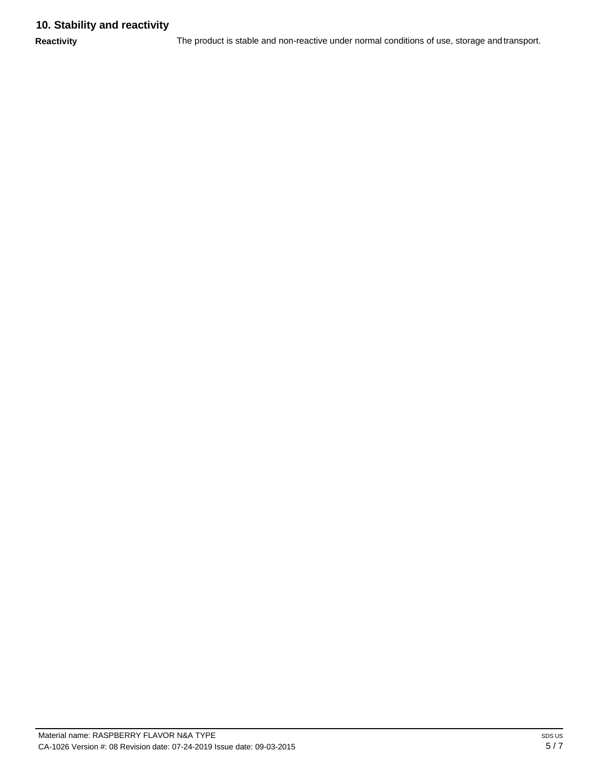# **10. Stability and reactivity**

**Reactivity** The product is stable and non-reactive under normal conditions of use, storage and transport.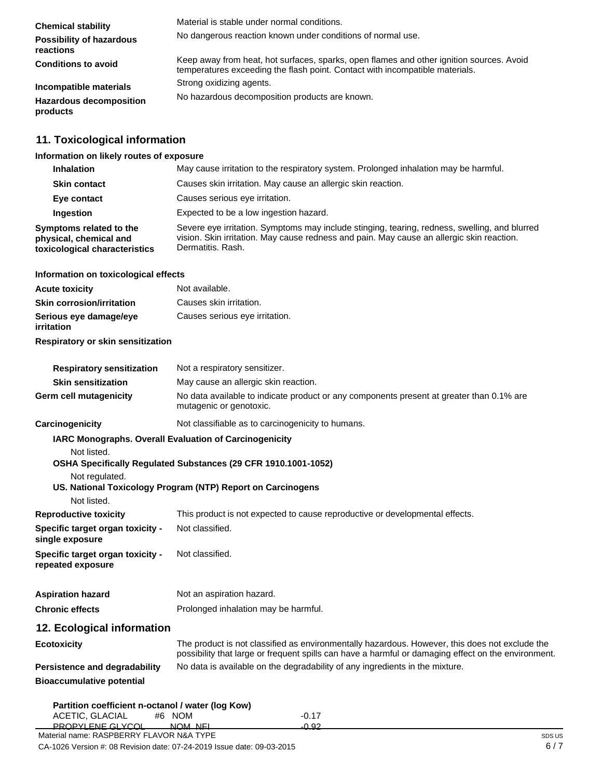| <b>Chemical stability</b>                    | Material is stable under normal conditions.                                                                                                                              |
|----------------------------------------------|--------------------------------------------------------------------------------------------------------------------------------------------------------------------------|
| <b>Possibility of hazardous</b><br>reactions | No dangerous reaction known under conditions of normal use.                                                                                                              |
| <b>Conditions to avoid</b>                   | Keep away from heat, hot surfaces, sparks, open flames and other ignition sources. Avoid<br>temperatures exceeding the flash point. Contact with incompatible materials. |
| Incompatible materials                       | Strong oxidizing agents.                                                                                                                                                 |
| <b>Hazardous decomposition</b><br>products   | No hazardous decomposition products are known.                                                                                                                           |

# **11. Toxicological information**

#### **Information on likely routes of exposure**

| <b>Inhalation</b>                                                                  | May cause irritation to the respiratory system. Prolonged inhalation may be harmful.                                                                                                                            |
|------------------------------------------------------------------------------------|-----------------------------------------------------------------------------------------------------------------------------------------------------------------------------------------------------------------|
| <b>Skin contact</b>                                                                | Causes skin irritation. May cause an allergic skin reaction.                                                                                                                                                    |
| Eye contact                                                                        | Causes serious eye irritation.                                                                                                                                                                                  |
| <b>Ingestion</b>                                                                   | Expected to be a low ingestion hazard.                                                                                                                                                                          |
| Symptoms related to the<br>physical, chemical and<br>toxicological characteristics | Severe eye irritation. Symptoms may include stinging, tearing, redness, swelling, and blurred<br>vision. Skin irritation. May cause redness and pain. May cause an allergic skin reaction.<br>Dermatitis, Rash. |

#### **Information on toxicological effects**

| <b>Acute toxicity</b>                | Not available.                 |
|--------------------------------------|--------------------------------|
| <b>Skin corrosion/irritation</b>     | Causes skin irritation.        |
| Serious eye damage/eye<br>irritation | Causes serious eye irritation. |
| Respiratory or skin sensitization    |                                |

| <b>Respiratory sensitization</b> | Not a respiratory sensitizer.                                                                                       |
|----------------------------------|---------------------------------------------------------------------------------------------------------------------|
| <b>Skin sensitization</b>        | May cause an allergic skin reaction.                                                                                |
| <b>Germ cell mutagenicity</b>    | No data available to indicate product or any components present at greater than 0.1% are<br>mutagenic or genotoxic. |

**Carcinogenicity** Not classifiable as to carcinogenicity to humans.

# **IARC Monographs. Overall Evaluation of Carcinogenicity**

Not listed.

# **OSHA Specifically Regulated Substances (29 CFR 1910.1001-1052)**

Not regulated.

#### **US. National Toxicology Program (NTP) Report on Carcinogens** Not listed.

| This product is not expected to cause reproductive or developmental effects. |
|------------------------------------------------------------------------------|
| Not classified.                                                              |
| Not classified.                                                              |
|                                                                              |

| <b>Aspiration hazard</b> | Not an aspiration hazard.            |
|--------------------------|--------------------------------------|
| <b>Chronic effects</b>   | Prolonged inhalation may be harmful. |

# **12. Ecological information**

| Ecotoxicity                      | The product is not classified as environmentally hazardous. However, this does not exclude the<br>possibility that large or frequent spills can have a harmful or damaging effect on the environment. |
|----------------------------------|-------------------------------------------------------------------------------------------------------------------------------------------------------------------------------------------------------|
| Persistence and degradability    | No data is available on the degradability of any ingredients in the mixture.                                                                                                                          |
| <b>Bioaccumulative potential</b> |                                                                                                                                                                                                       |

|         | -0.17                                                       |
|---------|-------------------------------------------------------------|
| NOM NEI | -0.92                                                       |
|         | Partition coefficient n-octanol / water (log Kow)<br>#6 NOM |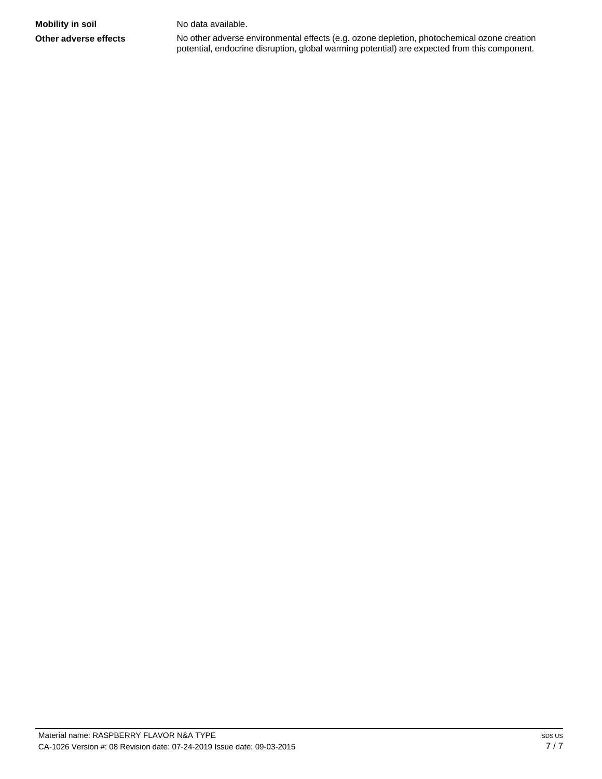**Other adverse effects** No other adverse environmental effects (e.g. ozone depletion, photochemical ozone creation potential, endocrine disruption, global warming potential) are expected from this component.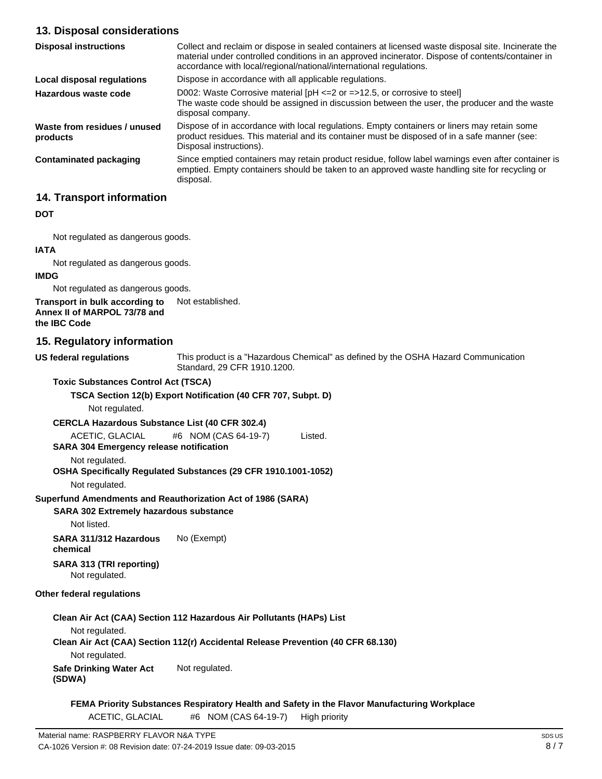# **13. Disposal considerations**

| <b>Disposal instructions</b>             | Collect and reclaim or dispose in sealed containers at licensed waste disposal site. Incinerate the<br>material under controlled conditions in an approved incinerator. Dispose of contents/container in<br>accordance with local/regional/national/international regulations. |
|------------------------------------------|--------------------------------------------------------------------------------------------------------------------------------------------------------------------------------------------------------------------------------------------------------------------------------|
| Local disposal regulations               | Dispose in accordance with all applicable regulations.                                                                                                                                                                                                                         |
| Hazardous waste code                     | D002: Waste Corrosive material $[PH \le 2$ or $= >12.5$ , or corrosive to steel<br>The waste code should be assigned in discussion between the user, the producer and the waste<br>disposal company.                                                                           |
| Waste from residues / unused<br>products | Dispose of in accordance with local regulations. Empty containers or liners may retain some<br>product residues. This material and its container must be disposed of in a safe manner (see:<br>Disposal instructions).                                                         |
| <b>Contaminated packaging</b>            | Since emptied containers may retain product residue, follow label warnings even after container is<br>emptied. Empty containers should be taken to an approved waste handling site for recycling or<br>disposal.                                                               |

# **14. Transport information**

#### **DOT**

Not regulated as dangerous goods.

#### **IATA**

Not regulated as dangerous goods.

#### **IMDG**

Not regulated as dangerous goods.

**Transport in bulk according to Annex II of MARPOL 73/78 and**  Not established.

# **the IBC Code**

# **15. Regulatory information**

**US federal regulations**

This product is a "Hazardous Chemical" as defined by the OSHA Hazard Communication Standard, 29 CFR 1910.1200.

**Toxic Substances Control Act (TSCA)**

# **TSCA Section 12(b) Export Notification (40 CFR 707, Subpt. D)**

Not regulated.

#### **CERCLA Hazardous Substance List (40 CFR 302.4)**

ACETIC, GLACIAL #6 NOM (CAS 64-19-7) Listed.

**SARA 304 Emergency release notification**

#### Not regulated.

# **OSHA Specifically Regulated Substances (29 CFR 1910.1001-1052)**

Not regulated.

# **Superfund Amendments and Reauthorization Act of 1986 (SARA)**

#### **SARA 302 Extremely hazardous substance**

Not listed.

**SARA 311/312 Hazardous chemical** No (Exempt)

**SARA 313 (TRI reporting)** Not regulated.

# **Other federal regulations**

# **Clean Air Act (CAA) Section 112 Hazardous Air Pollutants (HAPs) List** Not regulated.

# **Clean Air Act (CAA) Section 112(r) Accidental Release Prevention (40 CFR 68.130)** Not regulated.

**Safe Drinking Water Act (SDWA)** Not regulated.

**FEMA Priority Substances Respiratory Health and Safety in the Flavor Manufacturing Workplace** ACETIC, GLACIAL #6 NOM (CAS 64-19-7) High priority